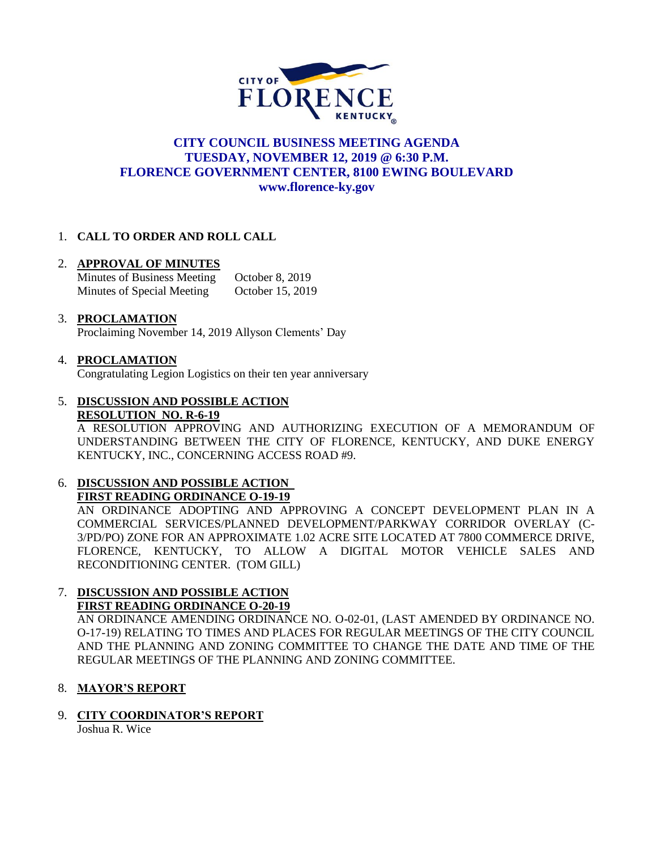

## **CITY COUNCIL BUSINESS MEETING AGENDA TUESDAY, NOVEMBER 12, 2019 @ 6:30 P.M. FLORENCE GOVERNMENT CENTER, 8100 EWING BOULEVARD [www.florence-ky.gov](http://www.florence-ky.gov/)**

## 1. **CALL TO ORDER AND ROLL CALL**

### 2. **APPROVAL OF MINUTES**

Minutes of Business Meeting October 8, 2019 Minutes of Special Meeting October 15, 2019

#### 3. **PROCLAMATION**

Proclaiming November 14, 2019 Allyson Clements' Day

#### 4. **PROCLAMATION**

Congratulating Legion Logistics on their ten year anniversary

### 5. **DISCUSSION AND POSSIBLE ACTION RESOLUTION NO. R-6-19**

A RESOLUTION APPROVING AND AUTHORIZING EXECUTION OF A MEMORANDUM OF UNDERSTANDING BETWEEN THE CITY OF FLORENCE, KENTUCKY, AND DUKE ENERGY KENTUCKY, INC., CONCERNING ACCESS ROAD #9.

#### 6. **DISCUSSION AND POSSIBLE ACTION FIRST READING ORDINANCE O-19-19**

AN ORDINANCE ADOPTING AND APPROVING A CONCEPT DEVELOPMENT PLAN IN A COMMERCIAL SERVICES/PLANNED DEVELOPMENT/PARKWAY CORRIDOR OVERLAY (C-3/PD/PO) ZONE FOR AN APPROXIMATE 1.02 ACRE SITE LOCATED AT 7800 COMMERCE DRIVE, FLORENCE, KENTUCKY, TO ALLOW A DIGITAL MOTOR VEHICLE SALES AND RECONDITIONING CENTER. (TOM GILL)

### 7. **DISCUSSION AND POSSIBLE ACTION FIRST READING ORDINANCE O-20-19**

AN ORDINANCE AMENDING ORDINANCE NO. O-02-01, (LAST AMENDED BY ORDINANCE NO. O-17-19) RELATING TO TIMES AND PLACES FOR REGULAR MEETINGS OF THE CITY COUNCIL AND THE PLANNING AND ZONING COMMITTEE TO CHANGE THE DATE AND TIME OF THE REGULAR MEETINGS OF THE PLANNING AND ZONING COMMITTEE.

### 8. **MAYOR'S REPORT**

### 9. **CITY COORDINATOR'S REPORT**

Joshua R. Wice